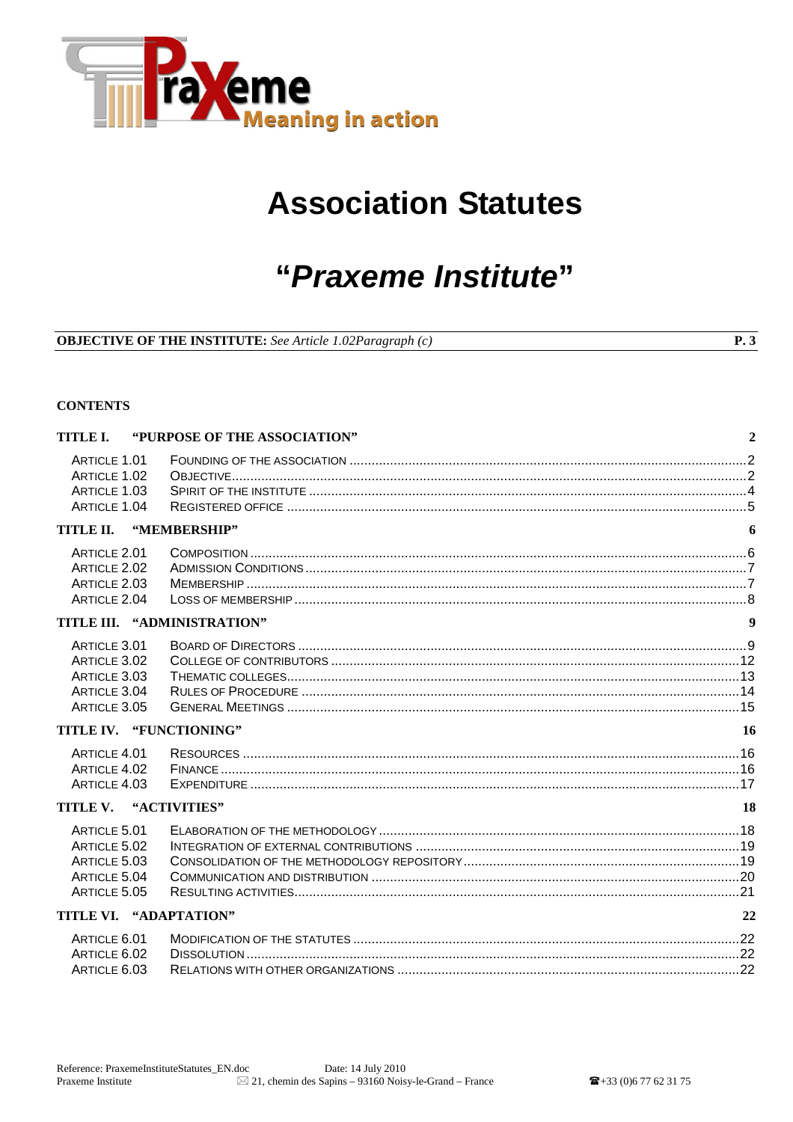

# **Association Statutes**

# "Praxeme Institute"

|  |  |  |  | <b>OBJECTIVE OF THE INSTITUTE:</b> See Article 1.02Paragraph (c) |  |
|--|--|--|--|------------------------------------------------------------------|--|
|--|--|--|--|------------------------------------------------------------------|--|

#### **CONTENTS**

| TITLE I.                | "PURPOSE OF THE ASSOCIATION" | $\overline{2}$   |
|-------------------------|------------------------------|------------------|
| ARTICLE 1.01            |                              |                  |
| ARTICLE 1.02            |                              |                  |
| ARTICLE 1.03            |                              |                  |
| ARTICLE 1.04            |                              |                  |
| TITLE II.               | "MEMBERSHIP"                 | 6                |
| ARTICLE 2.01            |                              |                  |
| ARTICLE 2.02            |                              |                  |
| ARTICLE 2.03            |                              |                  |
| ARTICLE 2.04            |                              |                  |
|                         | TITLE III. "ADMINISTRATION"  | $\boldsymbol{9}$ |
| ARTICLE 3.01            |                              |                  |
| ARTICLE 3.02            |                              |                  |
| ARTICLE 3.03            |                              |                  |
| ARTICLE 3.04            |                              |                  |
| ARTICLE 3.05            |                              |                  |
| TITLE IV. "FUNCTIONING" |                              | <b>16</b>        |
| ARTICLE 4.01            |                              |                  |
| ARTICLE 4.02            |                              |                  |
| ARTICLE 4.03            |                              |                  |
| TITLE V.                | "ACTIVITIES"                 | <b>18</b>        |
| ARTICLE 5.01            |                              |                  |
| ARTICLE 5.02            |                              |                  |
| ARTICLE 5.03            |                              |                  |
| ARTICLE 5.04            |                              |                  |
| ARTICLE 5.05            |                              |                  |
| TITLE VI. "ADAPTATION"  |                              | 22               |
| ARTICLE 6.01            |                              |                  |
| ARTICLE 6.02            |                              |                  |
| ARTICLE 6.03            |                              |                  |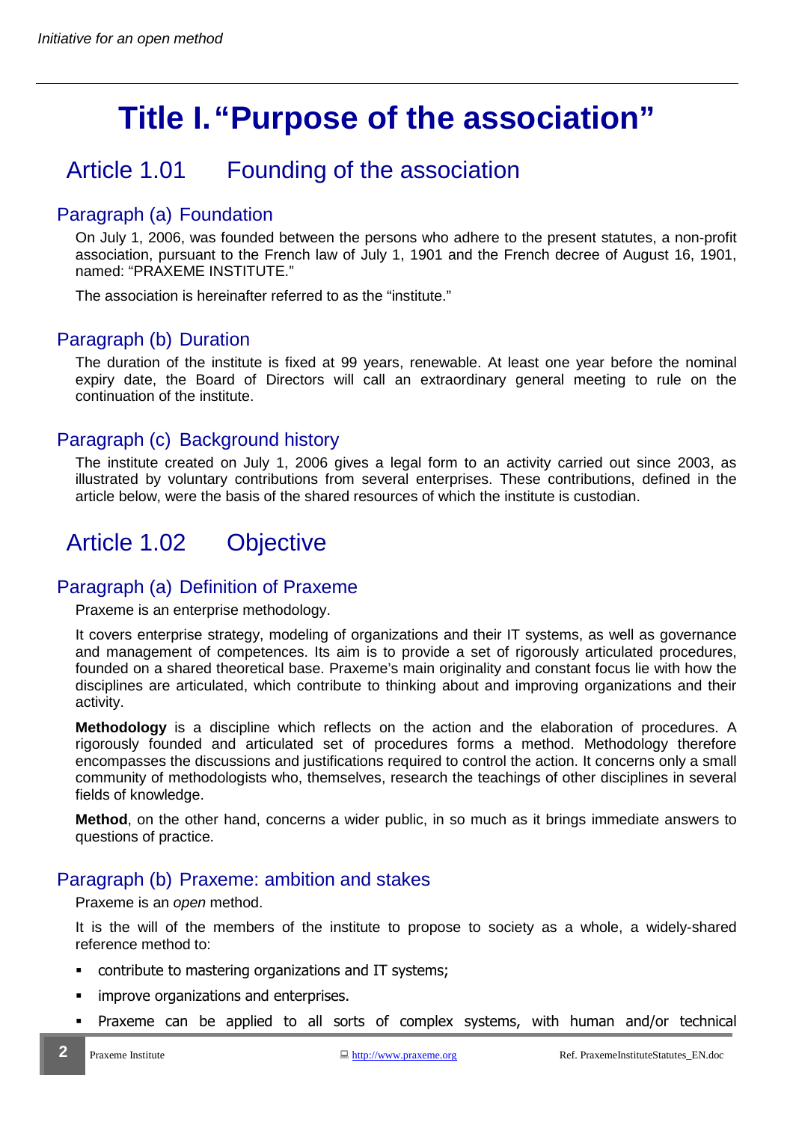# **Title I. "Purpose of the association"**

# Article 1.01 Founding of the association

### Paragraph (a) Foundation

On July 1, 2006, was founded between the persons who adhere to the present statutes, a non-profit association, pursuant to the French law of July 1, 1901 and the French decree of August 16, 1901, named: "PRAXEME INSTITUTE."

The association is hereinafter referred to as the "institute."

### Paragraph (b) Duration

The duration of the institute is fixed at 99 years, renewable. At least one year before the nominal expiry date, the Board of Directors will call an extraordinary general meeting to rule on the continuation of the institute.

### Paragraph (c) Background history

The institute created on July 1, 2006 gives a legal form to an activity carried out since 2003, as illustrated by voluntary contributions from several enterprises. These contributions, defined in the article below, were the basis of the shared resources of which the institute is custodian.

# Article 1.02 Objective

#### Paragraph (a) Definition of Praxeme

Praxeme is an enterprise methodology.

It covers enterprise strategy, modeling of organizations and their IT systems, as well as governance and management of competences. Its aim is to provide a set of rigorously articulated procedures, founded on a shared theoretical base. Praxeme's main originality and constant focus lie with how the disciplines are articulated, which contribute to thinking about and improving organizations and their activity.

**Methodology** is a discipline which reflects on the action and the elaboration of procedures. A rigorously founded and articulated set of procedures forms a method. Methodology therefore encompasses the discussions and justifications required to control the action. It concerns only a small community of methodologists who, themselves, research the teachings of other disciplines in several fields of knowledge.

**Method**, on the other hand, concerns a wider public, in so much as it brings immediate answers to questions of practice.

## Paragraph (b) Praxeme: ambition and stakes

#### Praxeme is an open method.

It is the will of the members of the institute to propose to society as a whole, a widely-shared reference method to:

- contribute to mastering organizations and IT systems;
- **·** improve organizations and enterprises.
- Praxeme can be applied to all sorts of complex systems, with human and/or technical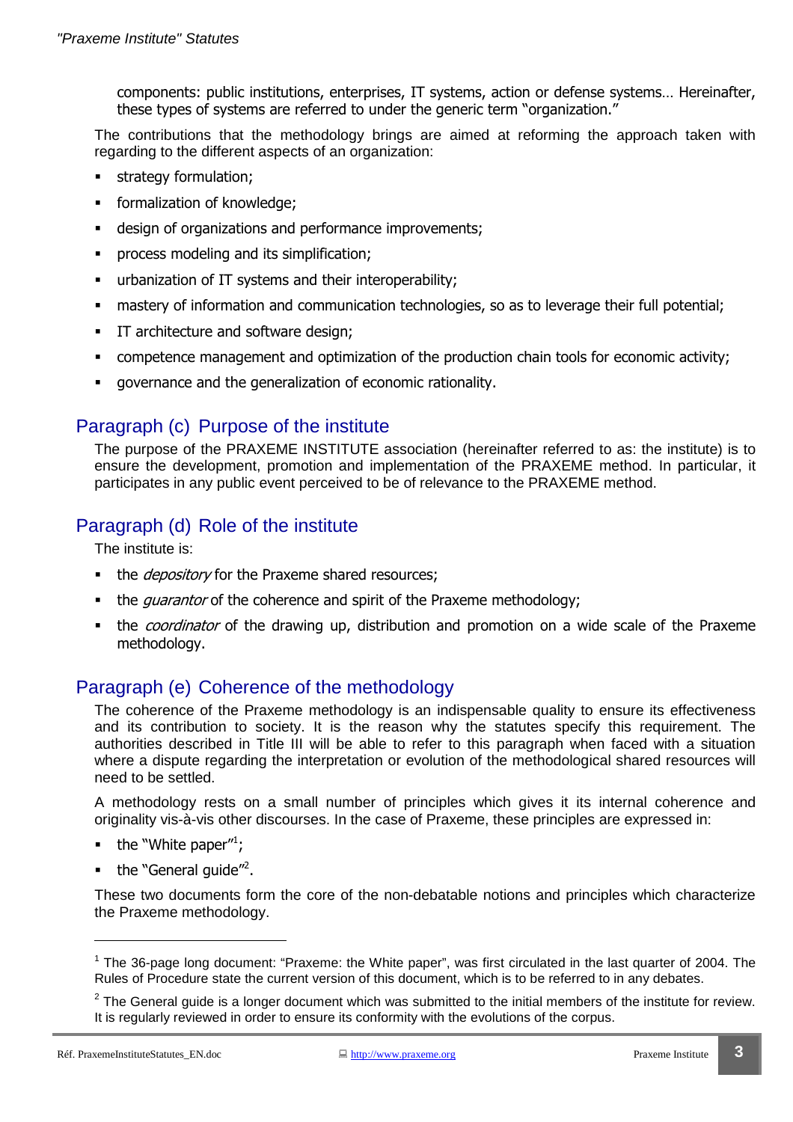components: public institutions, enterprises, IT systems, action or defense systems… Hereinafter, these types of systems are referred to under the generic term "organization."

The contributions that the methodology brings are aimed at reforming the approach taken with regarding to the different aspects of an organization:

- strategy formulation;
- formalization of knowledge;
- design of organizations and performance improvements;
- process modeling and its simplification;
- urbanization of IT systems and their interoperability;
- mastery of information and communication technologies, so as to leverage their full potential;
- **IT architecture and software design;**
- competence management and optimization of the production chain tools for economic activity;
- governance and the generalization of economic rationality.

### Paragraph (c) Purpose of the institute

The purpose of the PRAXEME INSTITUTE association (hereinafter referred to as: the institute) is to ensure the development, promotion and implementation of the PRAXEME method. In particular, it participates in any public event perceived to be of relevance to the PRAXEME method.

## Paragraph (d) Role of the institute

The institute is:

- the *depository* for the Praxeme shared resources;
- the *quarantor* of the coherence and spirit of the Praxeme methodology;
- the *coordinator* of the drawing up, distribution and promotion on a wide scale of the Praxeme methodology.

## Paragraph (e) Coherence of the methodology

The coherence of the Praxeme methodology is an indispensable quality to ensure its effectiveness and its contribution to society. It is the reason why the statutes specify this requirement. The authorities described in Title III will be able to refer to this paragraph when faced with a situation where a dispute regarding the interpretation or evolution of the methodological shared resources will need to be settled.

A methodology rests on a small number of principles which gives it its internal coherence and originality vis-à-vis other discourses. In the case of Praxeme, these principles are expressed in:

- $\blacksquare$  the "White paper";
- $\blacksquare$  the "General guide"<sup>2</sup>.

These two documents form the core of the non-debatable notions and principles which characterize the Praxeme methodology.

<sup>&</sup>lt;sup>1</sup> The 36-page long document: "Praxeme: the White paper", was first circulated in the last quarter of 2004. The Rules of Procedure state the current version of this document, which is to be referred to in any debates.

 $2$  The General guide is a longer document which was submitted to the initial members of the institute for review. It is regularly reviewed in order to ensure its conformity with the evolutions of the corpus.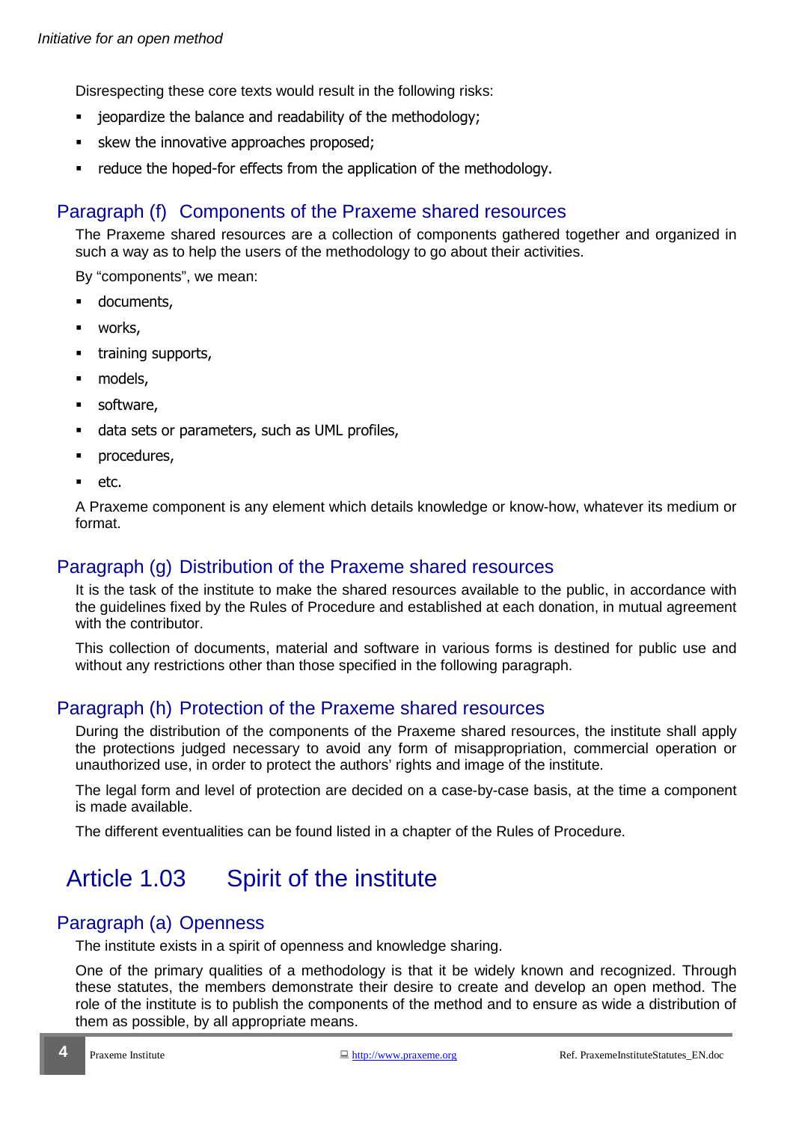Disrespecting these core texts would result in the following risks:

- jeopardize the balance and readability of the methodology;
- **skew the innovative approaches proposed;**
- reduce the hoped-for effects from the application of the methodology.

#### Paragraph (f) Components of the Praxeme shared resources

The Praxeme shared resources are a collection of components gathered together and organized in such a way as to help the users of the methodology to go about their activities.

By "components", we mean:

- **-** documents,
- **•** works,
- **training supports,**
- models,
- **software,**
- data sets or parameters, such as UML profiles,
- procedures,
- etc.

A Praxeme component is any element which details knowledge or know-how, whatever its medium or format.

#### Paragraph (g) Distribution of the Praxeme shared resources

It is the task of the institute to make the shared resources available to the public, in accordance with the guidelines fixed by the Rules of Procedure and established at each donation, in mutual agreement with the contributor.

This collection of documents, material and software in various forms is destined for public use and without any restrictions other than those specified in the following paragraph.

#### Paragraph (h) Protection of the Praxeme shared resources

During the distribution of the components of the Praxeme shared resources, the institute shall apply the protections judged necessary to avoid any form of misappropriation, commercial operation or unauthorized use, in order to protect the authors' rights and image of the institute.

The legal form and level of protection are decided on a case-by-case basis, at the time a component is made available.

The different eventualities can be found listed in a chapter of the Rules of Procedure.

# Article 1.03 Spirit of the institute

#### Paragraph (a) Openness

The institute exists in a spirit of openness and knowledge sharing.

One of the primary qualities of a methodology is that it be widely known and recognized. Through these statutes, the members demonstrate their desire to create and develop an open method. The role of the institute is to publish the components of the method and to ensure as wide a distribution of them as possible, by all appropriate means.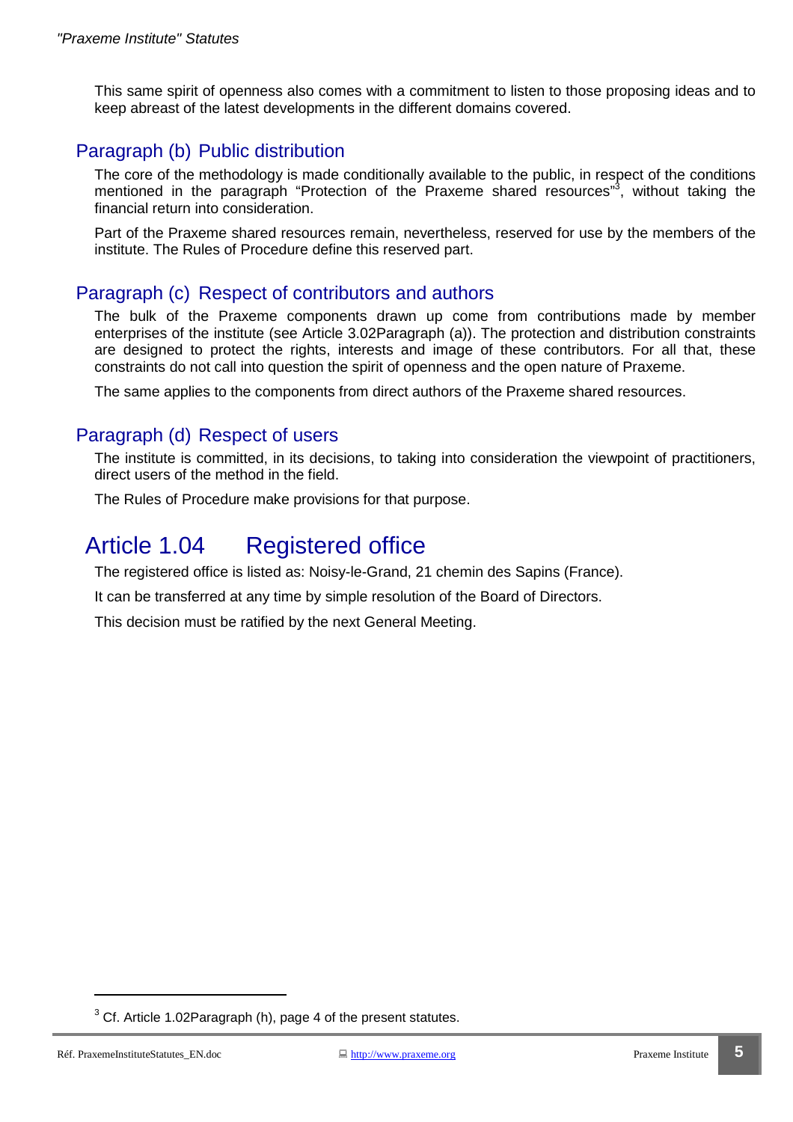This same spirit of openness also comes with a commitment to listen to those proposing ideas and to keep abreast of the latest developments in the different domains covered.

## Paragraph (b) Public distribution

The core of the methodology is made conditionally available to the public, in respect of the conditions mentioned in the paragraph "Protection of the Praxeme shared resources"<sup>3</sup>, without taking the financial return into consideration.

Part of the Praxeme shared resources remain, nevertheless, reserved for use by the members of the institute. The Rules of Procedure define this reserved part.

#### Paragraph (c) Respect of contributors and authors

The bulk of the Praxeme components drawn up come from contributions made by member enterprises of the institute (see Article 3.02Paragraph (a)). The protection and distribution constraints are designed to protect the rights, interests and image of these contributors. For all that, these constraints do not call into question the spirit of openness and the open nature of Praxeme.

The same applies to the components from direct authors of the Praxeme shared resources.

#### Paragraph (d) Respect of users

The institute is committed, in its decisions, to taking into consideration the viewpoint of practitioners, direct users of the method in the field.

The Rules of Procedure make provisions for that purpose.

# Article 1.04 Registered office

The registered office is listed as: Noisy-le-Grand, 21 chemin des Sapins (France).

It can be transferred at any time by simple resolution of the Board of Directors.

This decision must be ratified by the next General Meeting.

 $3$  Cf. Article 1.02Paragraph (h), page 4 of the present statutes.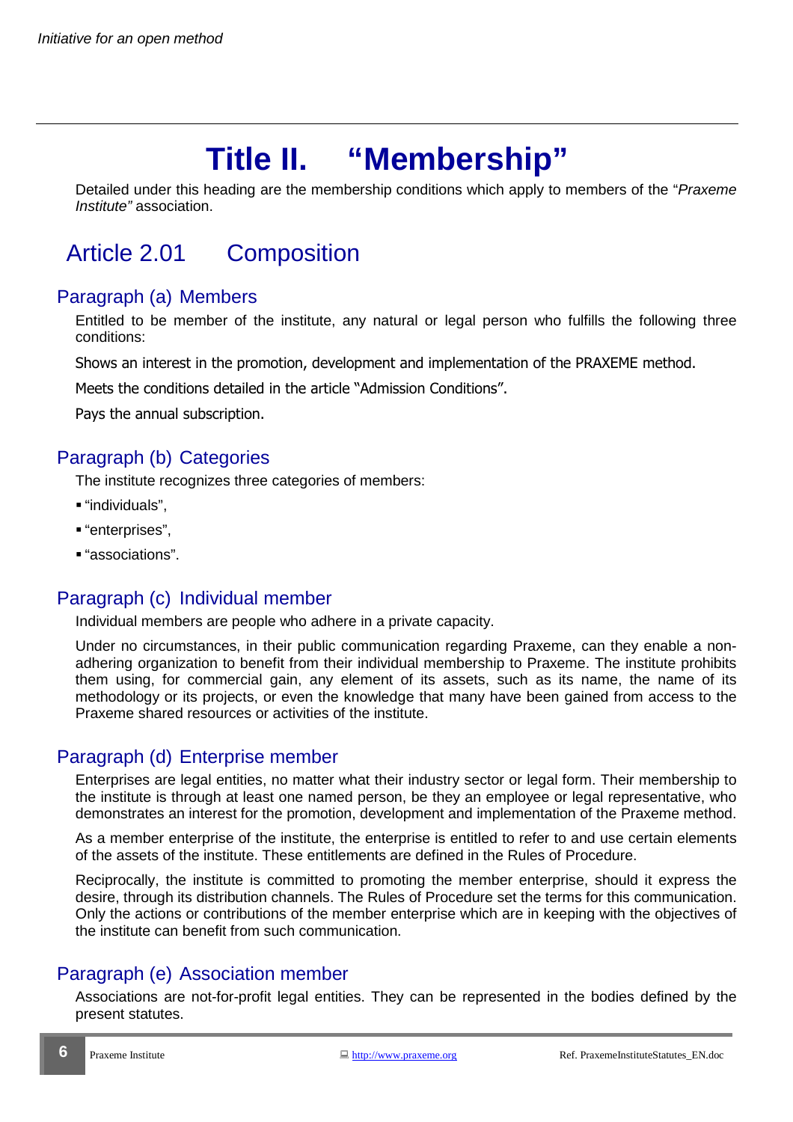# **Title II. "Membership"**

Detailed under this heading are the membership conditions which apply to members of the "Praxeme" Institute" association.

# Article 2.01 Composition

## Paragraph (a) Members

Entitled to be member of the institute, any natural or legal person who fulfills the following three conditions:

Shows an interest in the promotion, development and implementation of the PRAXEME method.

Meets the conditions detailed in the article "Admission Conditions".

Pays the annual subscription.

## Paragraph (b) Categories

The institute recognizes three categories of members:

- "individuals",
- "enterprises",
- "associations".

## Paragraph (c) Individual member

Individual members are people who adhere in a private capacity.

Under no circumstances, in their public communication regarding Praxeme, can they enable a nonadhering organization to benefit from their individual membership to Praxeme. The institute prohibits them using, for commercial gain, any element of its assets, such as its name, the name of its methodology or its projects, or even the knowledge that many have been gained from access to the Praxeme shared resources or activities of the institute.

## Paragraph (d) Enterprise member

Enterprises are legal entities, no matter what their industry sector or legal form. Their membership to the institute is through at least one named person, be they an employee or legal representative, who demonstrates an interest for the promotion, development and implementation of the Praxeme method.

As a member enterprise of the institute, the enterprise is entitled to refer to and use certain elements of the assets of the institute. These entitlements are defined in the Rules of Procedure.

Reciprocally, the institute is committed to promoting the member enterprise, should it express the desire, through its distribution channels. The Rules of Procedure set the terms for this communication. Only the actions or contributions of the member enterprise which are in keeping with the objectives of the institute can benefit from such communication.

## Paragraph (e) Association member

Associations are not-for-profit legal entities. They can be represented in the bodies defined by the present statutes.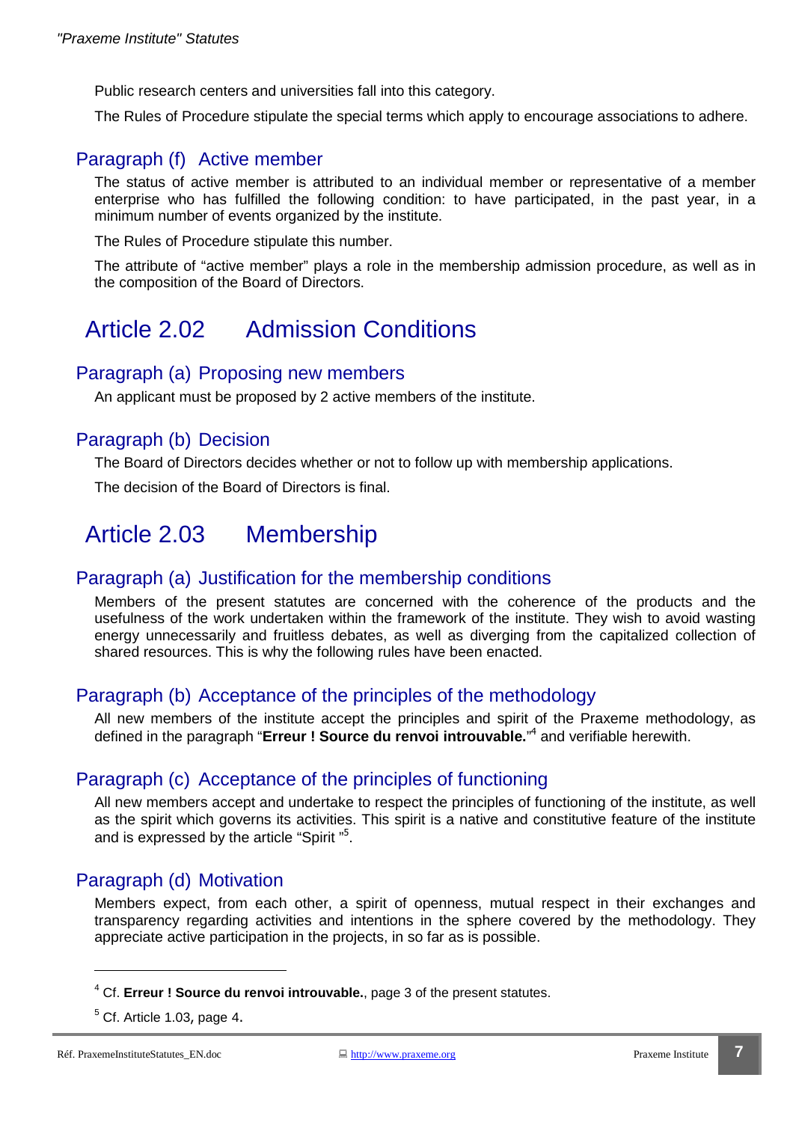Public research centers and universities fall into this category.

The Rules of Procedure stipulate the special terms which apply to encourage associations to adhere.

#### Paragraph (f) Active member

The status of active member is attributed to an individual member or representative of a member enterprise who has fulfilled the following condition: to have participated, in the past year, in a minimum number of events organized by the institute.

The Rules of Procedure stipulate this number.

The attribute of "active member" plays a role in the membership admission procedure, as well as in the composition of the Board of Directors.

# Article 2.02 Admission Conditions

#### Paragraph (a) Proposing new members

An applicant must be proposed by 2 active members of the institute.

#### Paragraph (b) Decision

The Board of Directors decides whether or not to follow up with membership applications.

The decision of the Board of Directors is final.

# Article 2.03 Membership

#### Paragraph (a) Justification for the membership conditions

Members of the present statutes are concerned with the coherence of the products and the usefulness of the work undertaken within the framework of the institute. They wish to avoid wasting energy unnecessarily and fruitless debates, as well as diverging from the capitalized collection of shared resources. This is why the following rules have been enacted.

#### Paragraph (b) Acceptance of the principles of the methodology

All new members of the institute accept the principles and spirit of the Praxeme methodology, as defined in the paragraph "**Erreur ! Source du renvoi introuvable.**" 4 and verifiable herewith.

#### Paragraph (c) Acceptance of the principles of functioning

All new members accept and undertake to respect the principles of functioning of the institute, as well as the spirit which governs its activities. This spirit is a native and constitutive feature of the institute and is expressed by the article "Spirit "<sup>5</sup>.

#### Paragraph (d) Motivation

Members expect, from each other, a spirit of openness, mutual respect in their exchanges and transparency regarding activities and intentions in the sphere covered by the methodology. They appreciate active participation in the projects, in so far as is possible.

<sup>4</sup> Cf. **Erreur ! Source du renvoi introuvable.**, page 3 of the present statutes.

 $<sup>5</sup>$  Cf. Article 1.03, page 4.</sup>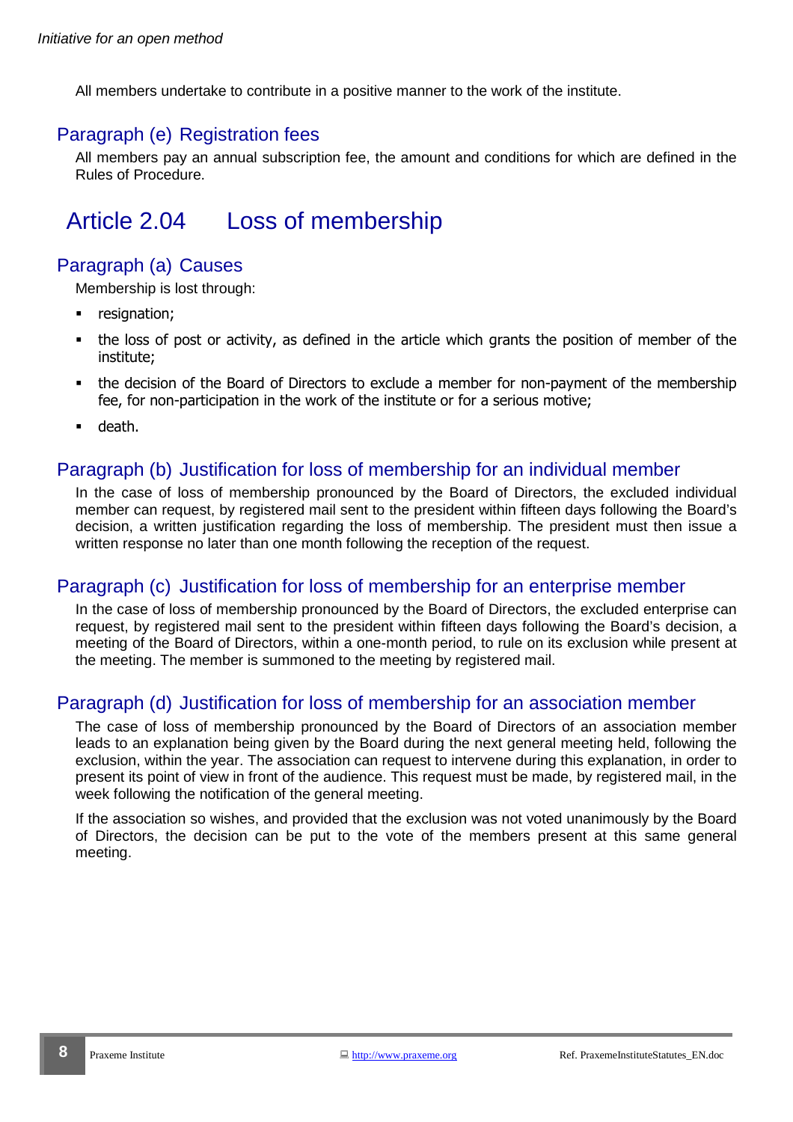All members undertake to contribute in a positive manner to the work of the institute.

### Paragraph (e) Registration fees

All members pay an annual subscription fee, the amount and conditions for which are defined in the Rules of Procedure.

# Article 2.04 Loss of membership

## Paragraph (a) Causes

Membership is lost through:

- **•** resignation;
- the loss of post or activity, as defined in the article which grants the position of member of the institute;
- the decision of the Board of Directors to exclude a member for non-payment of the membership fee, for non-participation in the work of the institute or for a serious motive;
- death.

#### Paragraph (b) Justification for loss of membership for an individual member

In the case of loss of membership pronounced by the Board of Directors, the excluded individual member can request, by registered mail sent to the president within fifteen days following the Board's decision, a written justification regarding the loss of membership. The president must then issue a written response no later than one month following the reception of the request.

#### Paragraph (c) Justification for loss of membership for an enterprise member

In the case of loss of membership pronounced by the Board of Directors, the excluded enterprise can request, by registered mail sent to the president within fifteen days following the Board's decision, a meeting of the Board of Directors, within a one-month period, to rule on its exclusion while present at the meeting. The member is summoned to the meeting by registered mail.

#### Paragraph (d) Justification for loss of membership for an association member

The case of loss of membership pronounced by the Board of Directors of an association member leads to an explanation being given by the Board during the next general meeting held, following the exclusion, within the year. The association can request to intervene during this explanation, in order to present its point of view in front of the audience. This request must be made, by registered mail, in the week following the notification of the general meeting.

If the association so wishes, and provided that the exclusion was not voted unanimously by the Board of Directors, the decision can be put to the vote of the members present at this same general meeting.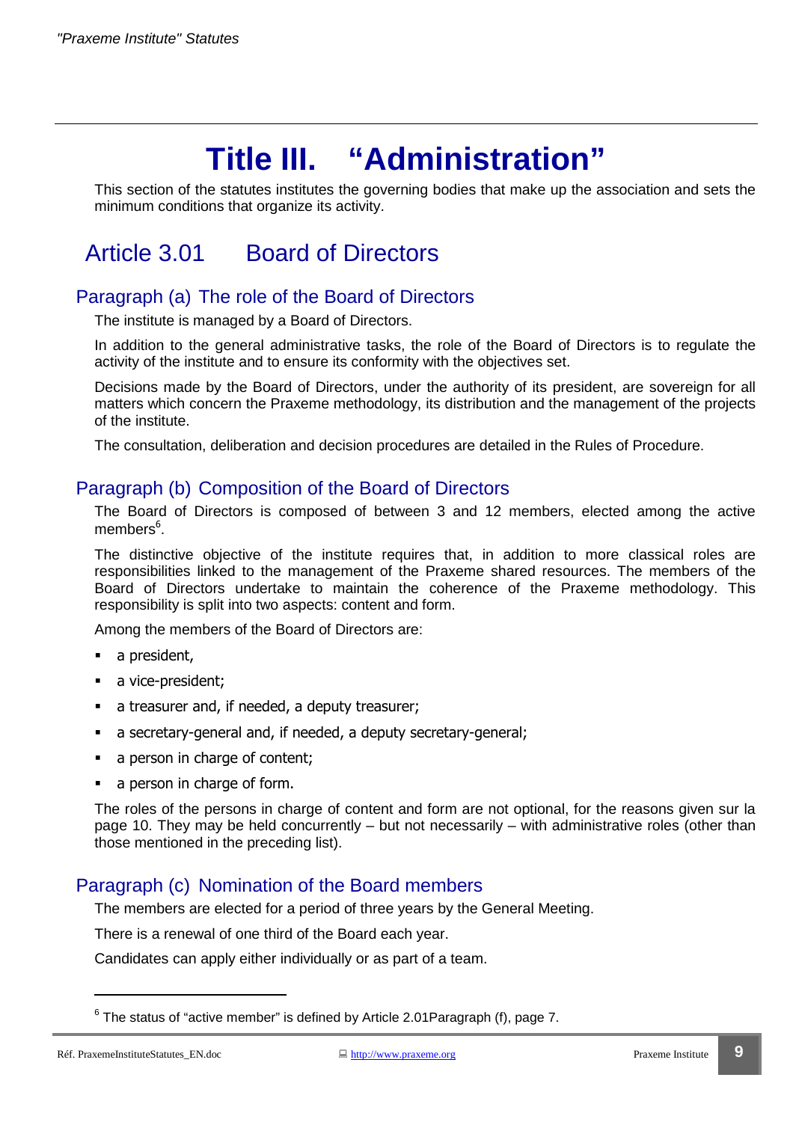# **Title III. "Administration"**

This section of the statutes institutes the governing bodies that make up the association and sets the minimum conditions that organize its activity.

# Article 3.01 Board of Directors

### Paragraph (a) The role of the Board of Directors

The institute is managed by a Board of Directors.

In addition to the general administrative tasks, the role of the Board of Directors is to regulate the activity of the institute and to ensure its conformity with the objectives set.

Decisions made by the Board of Directors, under the authority of its president, are sovereign for all matters which concern the Praxeme methodology, its distribution and the management of the projects of the institute.

The consultation, deliberation and decision procedures are detailed in the Rules of Procedure.

#### Paragraph (b) Composition of the Board of Directors

The Board of Directors is composed of between 3 and 12 members, elected among the active members<sup>6</sup>.

The distinctive objective of the institute requires that, in addition to more classical roles are responsibilities linked to the management of the Praxeme shared resources. The members of the Board of Directors undertake to maintain the coherence of the Praxeme methodology. This responsibility is split into two aspects: content and form.

Among the members of the Board of Directors are:

- a president,
- a vice-president;
- a treasurer and, if needed, a deputy treasurer;
- a secretary-general and, if needed, a deputy secretary-general;
- a person in charge of content;
- a person in charge of form.

The roles of the persons in charge of content and form are not optional, for the reasons given sur la page 10. They may be held concurrently – but not necessarily – with administrative roles (other than those mentioned in the preceding list).

#### Paragraph (c) Nomination of the Board members

The members are elected for a period of three years by the General Meeting.

There is a renewal of one third of the Board each year.

Candidates can apply either individually or as part of a team.

 $^6$  The status of "active member" is defined by Article 2.01 Paragraph (f), page 7.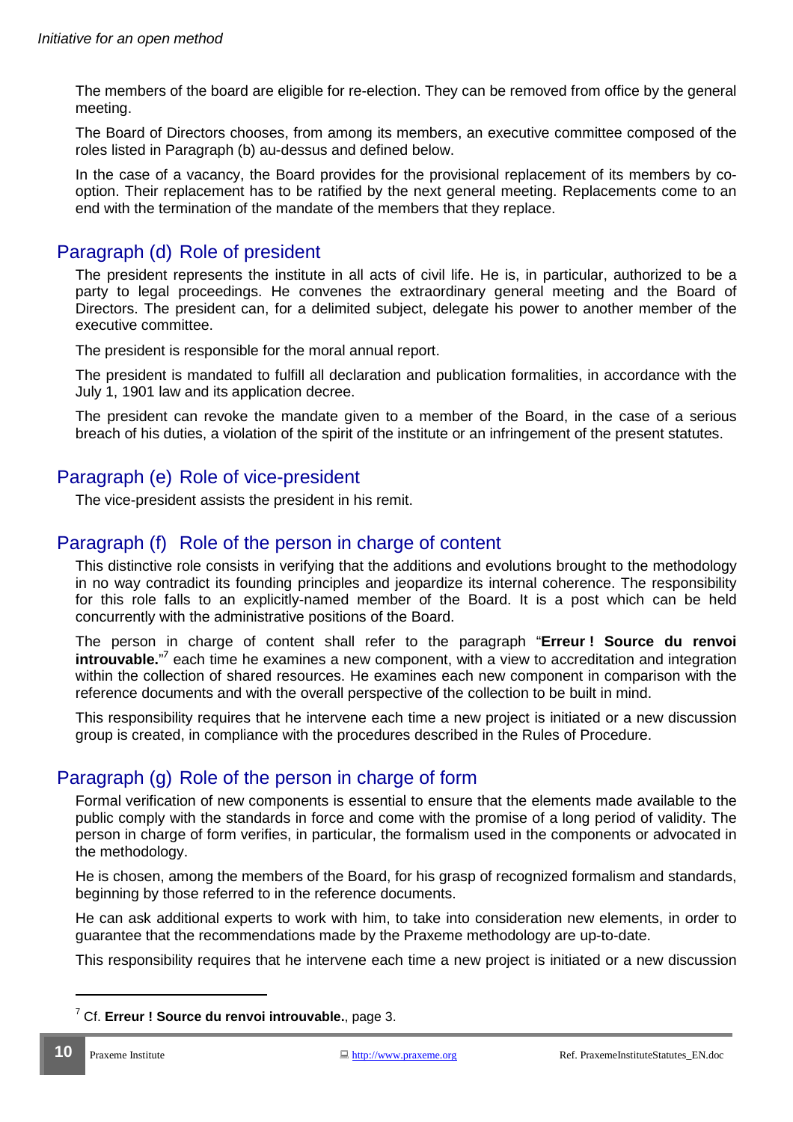The members of the board are eligible for re-election. They can be removed from office by the general meeting.

The Board of Directors chooses, from among its members, an executive committee composed of the roles listed in Paragraph (b) au-dessus and defined below.

In the case of a vacancy, the Board provides for the provisional replacement of its members by cooption. Their replacement has to be ratified by the next general meeting. Replacements come to an end with the termination of the mandate of the members that they replace.

### Paragraph (d) Role of president

The president represents the institute in all acts of civil life. He is, in particular, authorized to be a party to legal proceedings. He convenes the extraordinary general meeting and the Board of Directors. The president can, for a delimited subject, delegate his power to another member of the executive committee.

The president is responsible for the moral annual report.

The president is mandated to fulfill all declaration and publication formalities, in accordance with the July 1, 1901 law and its application decree.

The president can revoke the mandate given to a member of the Board, in the case of a serious breach of his duties, a violation of the spirit of the institute or an infringement of the present statutes.

#### Paragraph (e) Role of vice-president

The vice-president assists the president in his remit.

#### Paragraph (f) Role of the person in charge of content

This distinctive role consists in verifying that the additions and evolutions brought to the methodology in no way contradict its founding principles and jeopardize its internal coherence. The responsibility for this role falls to an explicitly-named member of the Board. It is a post which can be held concurrently with the administrative positions of the Board.

The person in charge of content shall refer to the paragraph "**Erreur ! Source du renvoi introuvable.**"<sup>7</sup> each time he examines a new component, with a view to accreditation and integration within the collection of shared resources. He examines each new component in comparison with the reference documents and with the overall perspective of the collection to be built in mind.

This responsibility requires that he intervene each time a new project is initiated or a new discussion group is created, in compliance with the procedures described in the Rules of Procedure.

## Paragraph (g) Role of the person in charge of form

Formal verification of new components is essential to ensure that the elements made available to the public comply with the standards in force and come with the promise of a long period of validity. The person in charge of form verifies, in particular, the formalism used in the components or advocated in the methodology.

He is chosen, among the members of the Board, for his grasp of recognized formalism and standards, beginning by those referred to in the reference documents.

He can ask additional experts to work with him, to take into consideration new elements, in order to guarantee that the recommendations made by the Praxeme methodology are up-to-date.

This responsibility requires that he intervene each time a new project is initiated or a new discussion

<sup>7</sup> Cf. **Erreur ! Source du renvoi introuvable.**, page 3.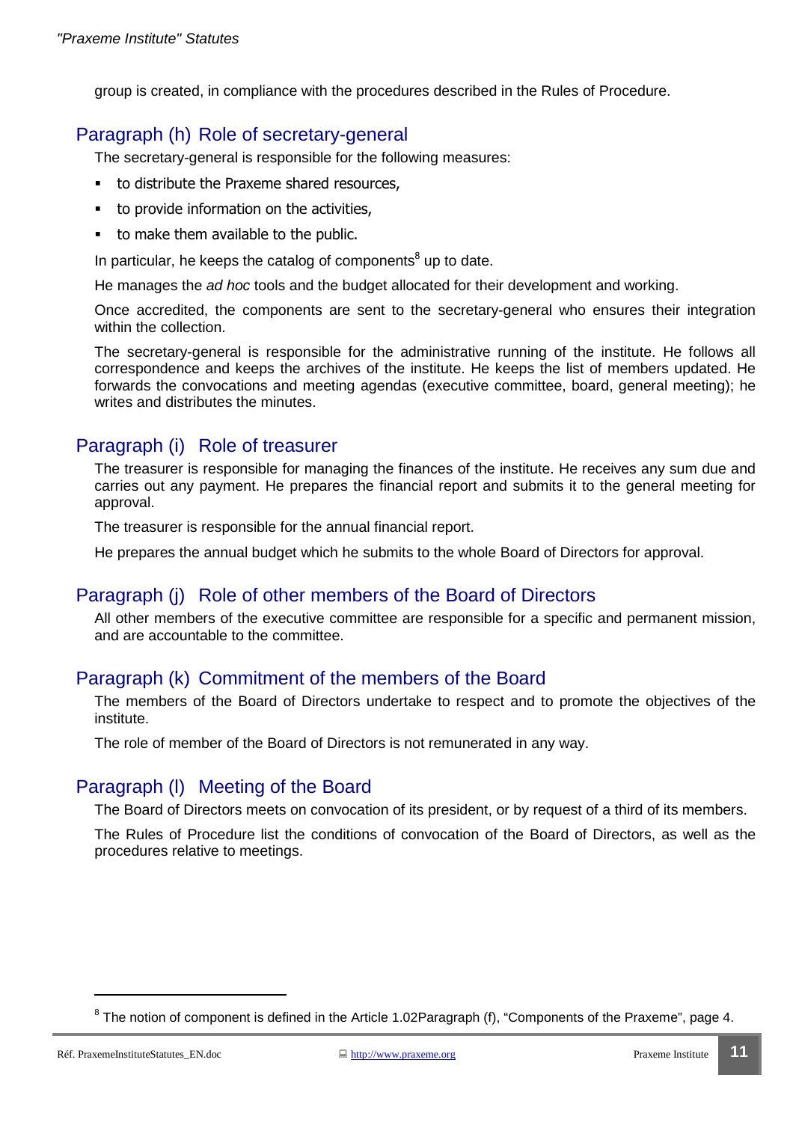group is created, in compliance with the procedures described in the Rules of Procedure.

### Paragraph (h) Role of secretary-general

The secretary-general is responsible for the following measures:

- to distribute the Praxeme shared resources,
- to provide information on the activities,
- to make them available to the public.

In particular, he keeps the catalog of components<sup>8</sup> up to date.

He manages the ad hoc tools and the budget allocated for their development and working.

Once accredited, the components are sent to the secretary-general who ensures their integration within the collection.

The secretary-general is responsible for the administrative running of the institute. He follows all correspondence and keeps the archives of the institute. He keeps the list of members updated. He forwards the convocations and meeting agendas (executive committee, board, general meeting); he writes and distributes the minutes.

#### Paragraph (i) Role of treasurer

The treasurer is responsible for managing the finances of the institute. He receives any sum due and carries out any payment. He prepares the financial report and submits it to the general meeting for approval.

The treasurer is responsible for the annual financial report.

He prepares the annual budget which he submits to the whole Board of Directors for approval.

#### Paragraph (j) Role of other members of the Board of Directors

All other members of the executive committee are responsible for a specific and permanent mission, and are accountable to the committee.

#### Paragraph (k) Commitment of the members of the Board

The members of the Board of Directors undertake to respect and to promote the objectives of the institute.

The role of member of the Board of Directors is not remunerated in any way.

#### Paragraph (l) Meeting of the Board

The Board of Directors meets on convocation of its president, or by request of a third of its members.

The Rules of Procedure list the conditions of convocation of the Board of Directors, as well as the procedures relative to meetings.

 $8$  The notion of component is defined in the Article 1.02Paragraph (f), "Components of the Praxeme", page 4.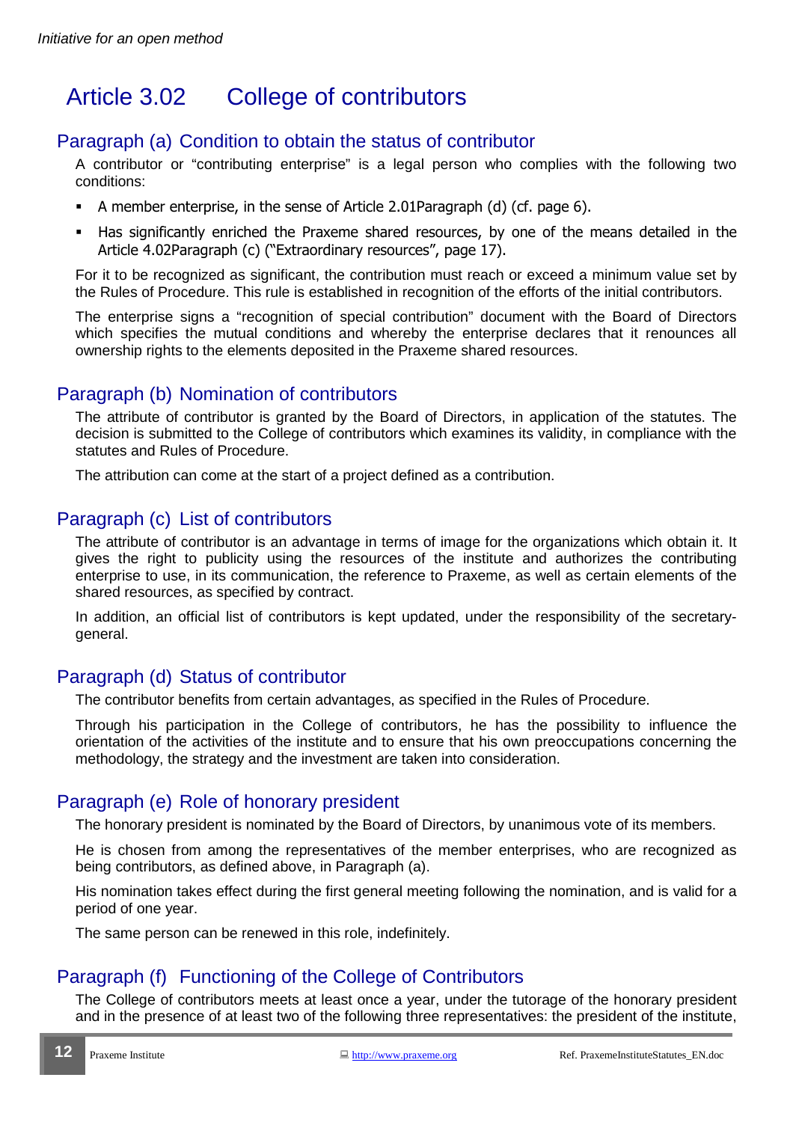# Article 3.02 College of contributors

#### Paragraph (a) Condition to obtain the status of contributor

A contributor or "contributing enterprise" is a legal person who complies with the following two conditions:

- A member enterprise, in the sense of Article 2.01Paragraph (d) (cf. page 6).
- Has significantly enriched the Praxeme shared resources, by one of the means detailed in the Article 4.02Paragraph (c) ("Extraordinary resources", page 17).

For it to be recognized as significant, the contribution must reach or exceed a minimum value set by the Rules of Procedure. This rule is established in recognition of the efforts of the initial contributors.

The enterprise signs a "recognition of special contribution" document with the Board of Directors which specifies the mutual conditions and whereby the enterprise declares that it renounces all ownership rights to the elements deposited in the Praxeme shared resources.

#### Paragraph (b) Nomination of contributors

The attribute of contributor is granted by the Board of Directors, in application of the statutes. The decision is submitted to the College of contributors which examines its validity, in compliance with the statutes and Rules of Procedure.

The attribution can come at the start of a project defined as a contribution.

#### Paragraph (c) List of contributors

The attribute of contributor is an advantage in terms of image for the organizations which obtain it. It gives the right to publicity using the resources of the institute and authorizes the contributing enterprise to use, in its communication, the reference to Praxeme, as well as certain elements of the shared resources, as specified by contract.

In addition, an official list of contributors is kept updated, under the responsibility of the secretarygeneral.

#### Paragraph (d) Status of contributor

The contributor benefits from certain advantages, as specified in the Rules of Procedure.

Through his participation in the College of contributors, he has the possibility to influence the orientation of the activities of the institute and to ensure that his own preoccupations concerning the methodology, the strategy and the investment are taken into consideration.

#### Paragraph (e) Role of honorary president

The honorary president is nominated by the Board of Directors, by unanimous vote of its members.

He is chosen from among the representatives of the member enterprises, who are recognized as being contributors, as defined above, in Paragraph (a).

His nomination takes effect during the first general meeting following the nomination, and is valid for a period of one year.

The same person can be renewed in this role, indefinitely.

## Paragraph (f) Functioning of the College of Contributors

The College of contributors meets at least once a year, under the tutorage of the honorary president and in the presence of at least two of the following three representatives: the president of the institute,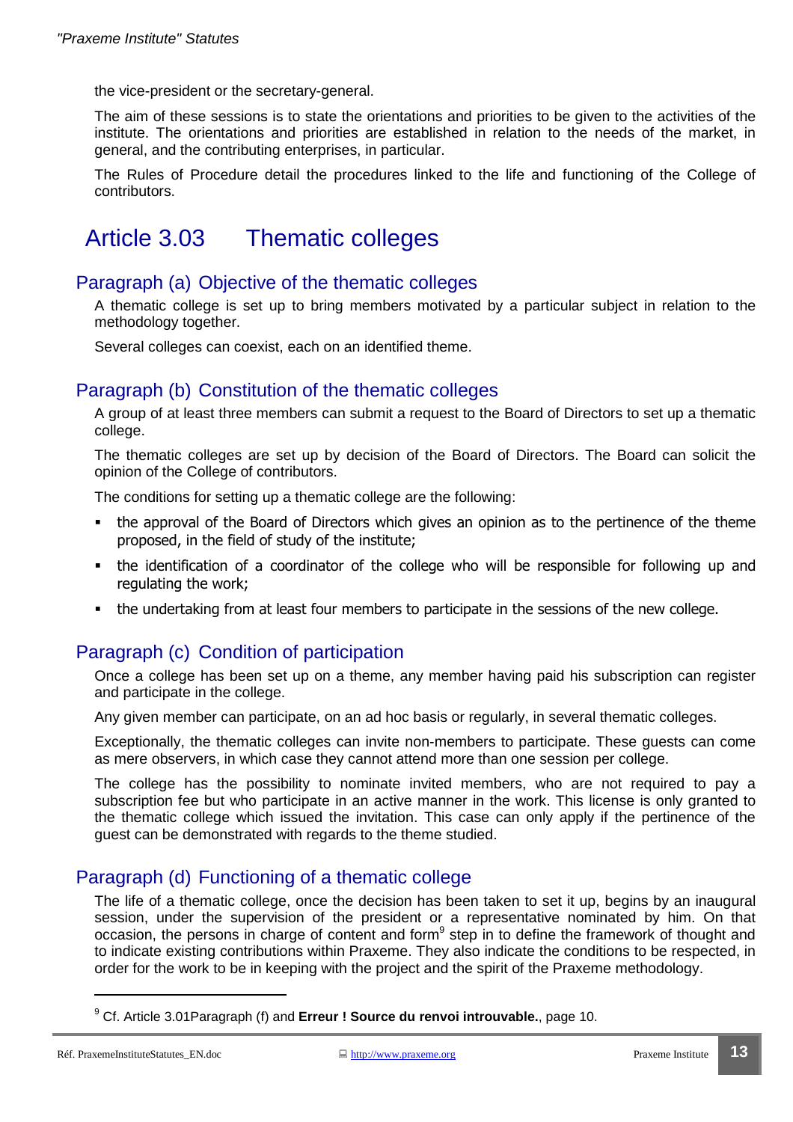the vice-president or the secretary-general.

The aim of these sessions is to state the orientations and priorities to be given to the activities of the institute. The orientations and priorities are established in relation to the needs of the market, in general, and the contributing enterprises, in particular.

The Rules of Procedure detail the procedures linked to the life and functioning of the College of contributors.

## Article 3.03 Thematic colleges

#### Paragraph (a) Objective of the thematic colleges

A thematic college is set up to bring members motivated by a particular subject in relation to the methodology together.

Several colleges can coexist, each on an identified theme.

#### Paragraph (b) Constitution of the thematic colleges

A group of at least three members can submit a request to the Board of Directors to set up a thematic college.

The thematic colleges are set up by decision of the Board of Directors. The Board can solicit the opinion of the College of contributors.

The conditions for setting up a thematic college are the following:

- the approval of the Board of Directors which gives an opinion as to the pertinence of the theme proposed, in the field of study of the institute;
- the identification of a coordinator of the college who will be responsible for following up and regulating the work;
- the undertaking from at least four members to participate in the sessions of the new college.

#### Paragraph (c) Condition of participation

Once a college has been set up on a theme, any member having paid his subscription can register and participate in the college.

Any given member can participate, on an ad hoc basis or regularly, in several thematic colleges.

Exceptionally, the thematic colleges can invite non-members to participate. These guests can come as mere observers, in which case they cannot attend more than one session per college.

The college has the possibility to nominate invited members, who are not required to pay a subscription fee but who participate in an active manner in the work. This license is only granted to the thematic college which issued the invitation. This case can only apply if the pertinence of the guest can be demonstrated with regards to the theme studied.

#### Paragraph (d) Functioning of a thematic college

The life of a thematic college, once the decision has been taken to set it up, begins by an inaugural session, under the supervision of the president or a representative nominated by him. On that occasion, the persons in charge of content and form<sup>9</sup> step in to define the framework of thought and to indicate existing contributions within Praxeme. They also indicate the conditions to be respected, in order for the work to be in keeping with the project and the spirit of the Praxeme methodology.

<sup>9</sup> Cf. Article 3.01Paragraph (f) and **Erreur ! Source du renvoi introuvable.**, page 10.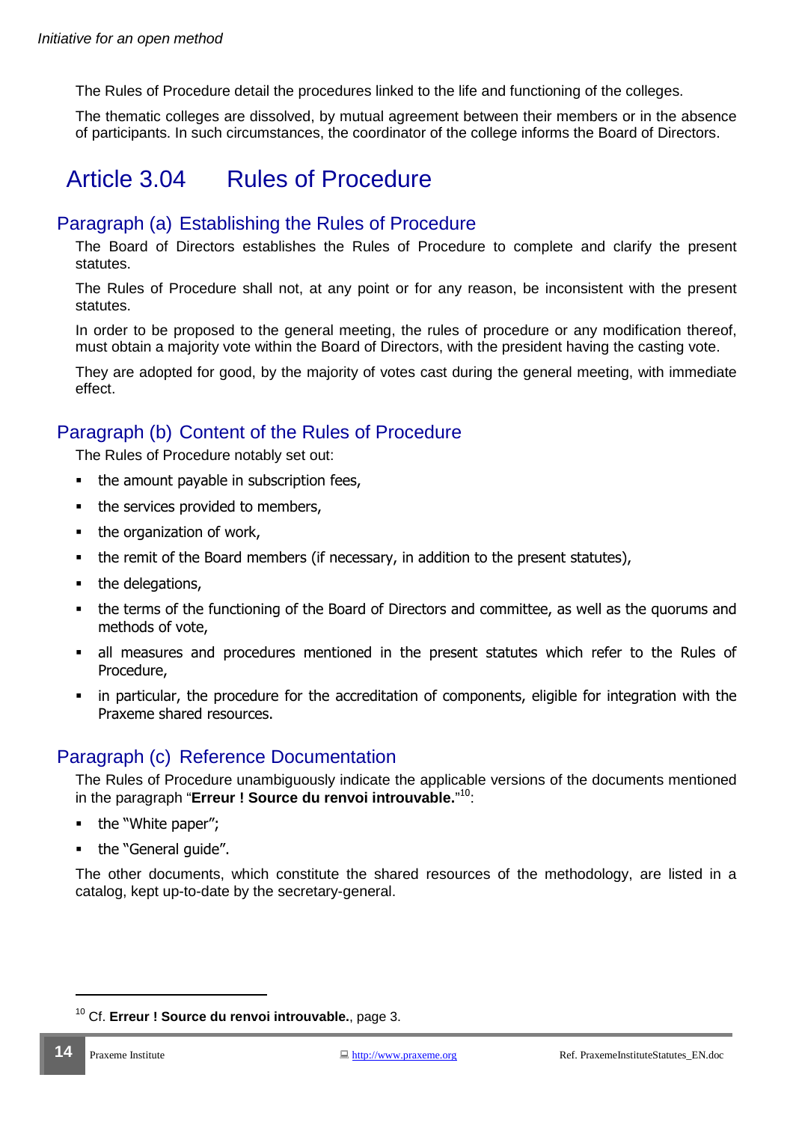The Rules of Procedure detail the procedures linked to the life and functioning of the colleges.

The thematic colleges are dissolved, by mutual agreement between their members or in the absence of participants. In such circumstances, the coordinator of the college informs the Board of Directors.

# Article 3.04 Rules of Procedure

#### Paragraph (a) Establishing the Rules of Procedure

The Board of Directors establishes the Rules of Procedure to complete and clarify the present statutes.

The Rules of Procedure shall not, at any point or for any reason, be inconsistent with the present statutes.

In order to be proposed to the general meeting, the rules of procedure or any modification thereof, must obtain a majority vote within the Board of Directors, with the president having the casting vote.

They are adopted for good, by the majority of votes cast during the general meeting, with immediate effect.

#### Paragraph (b) Content of the Rules of Procedure

The Rules of Procedure notably set out:

- the amount payable in subscription fees,
- the services provided to members,
- the organization of work,
- the remit of the Board members (if necessary, in addition to the present statutes),
- the delegations,
- the terms of the functioning of the Board of Directors and committee, as well as the quorums and methods of vote,
- all measures and procedures mentioned in the present statutes which refer to the Rules of Procedure,
- in particular, the procedure for the accreditation of components, eligible for integration with the Praxeme shared resources.

#### Paragraph (c) Reference Documentation

The Rules of Procedure unambiguously indicate the applicable versions of the documents mentioned in the paragraph "**Erreur ! Source du renvoi introuvable.**" <sup>10</sup>:

- the "White paper";
- the "General quide".

The other documents, which constitute the shared resources of the methodology, are listed in a catalog, kept up-to-date by the secretary-general.

<sup>10</sup> Cf. **Erreur ! Source du renvoi introuvable.**, page 3.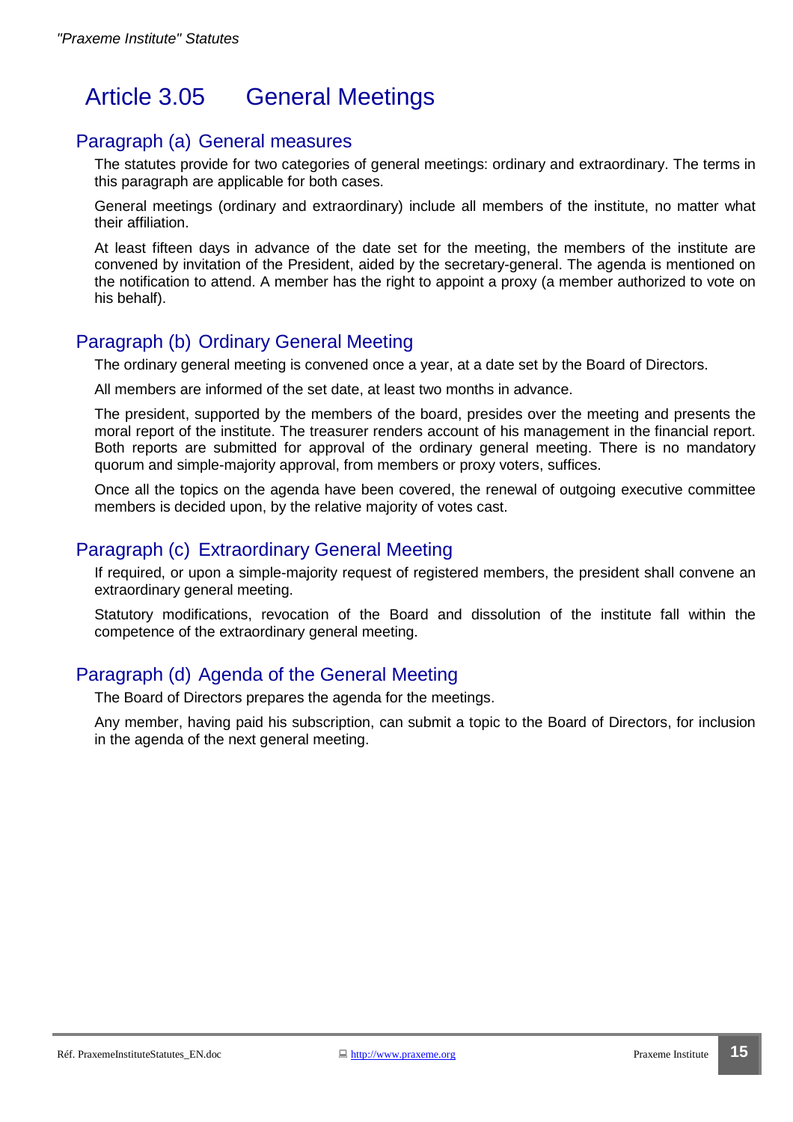# Article 3.05 General Meetings

#### Paragraph (a) General measures

The statutes provide for two categories of general meetings: ordinary and extraordinary. The terms in this paragraph are applicable for both cases.

General meetings (ordinary and extraordinary) include all members of the institute, no matter what their affiliation.

At least fifteen days in advance of the date set for the meeting, the members of the institute are convened by invitation of the President, aided by the secretary-general. The agenda is mentioned on the notification to attend. A member has the right to appoint a proxy (a member authorized to vote on his behalf).

### Paragraph (b) Ordinary General Meeting

The ordinary general meeting is convened once a year, at a date set by the Board of Directors.

All members are informed of the set date, at least two months in advance.

The president, supported by the members of the board, presides over the meeting and presents the moral report of the institute. The treasurer renders account of his management in the financial report. Both reports are submitted for approval of the ordinary general meeting. There is no mandatory quorum and simple-majority approval, from members or proxy voters, suffices.

Once all the topics on the agenda have been covered, the renewal of outgoing executive committee members is decided upon, by the relative majority of votes cast.

### Paragraph (c) Extraordinary General Meeting

If required, or upon a simple-majority request of registered members, the president shall convene an extraordinary general meeting.

Statutory modifications, revocation of the Board and dissolution of the institute fall within the competence of the extraordinary general meeting.

## Paragraph (d) Agenda of the General Meeting

The Board of Directors prepares the agenda for the meetings.

Any member, having paid his subscription, can submit a topic to the Board of Directors, for inclusion in the agenda of the next general meeting.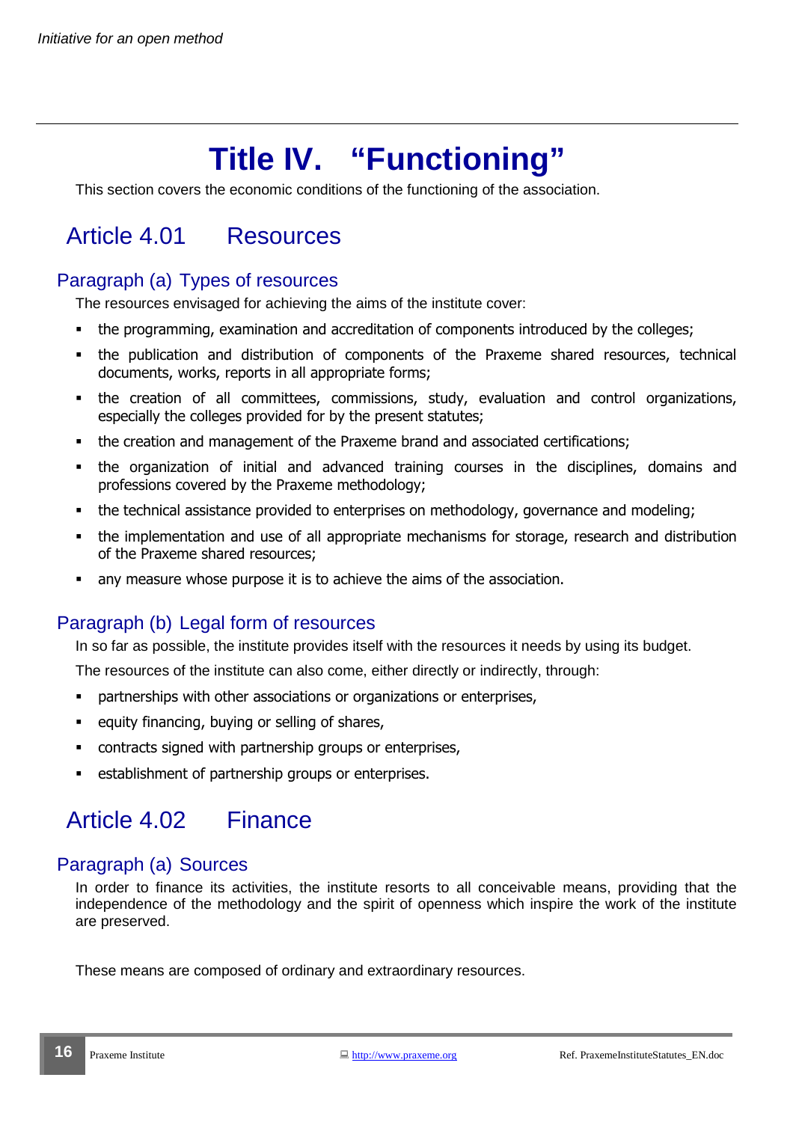# **Title IV. "Functioning"**

This section covers the economic conditions of the functioning of the association.

# Article 4.01 Resources

## Paragraph (a) Types of resources

The resources envisaged for achieving the aims of the institute cover:

- the programming, examination and accreditation of components introduced by the colleges;
- the publication and distribution of components of the Praxeme shared resources, technical documents, works, reports in all appropriate forms;
- the creation of all committees, commissions, study, evaluation and control organizations, especially the colleges provided for by the present statutes;
- the creation and management of the Praxeme brand and associated certifications;
- the organization of initial and advanced training courses in the disciplines, domains and professions covered by the Praxeme methodology;
- the technical assistance provided to enterprises on methodology, governance and modeling;
- the implementation and use of all appropriate mechanisms for storage, research and distribution of the Praxeme shared resources;
- any measure whose purpose it is to achieve the aims of the association.

## Paragraph (b) Legal form of resources

In so far as possible, the institute provides itself with the resources it needs by using its budget.

The resources of the institute can also come, either directly or indirectly, through:

- partnerships with other associations or organizations or enterprises,
- equity financing, buying or selling of shares,
- contracts signed with partnership groups or enterprises,
- establishment of partnership groups or enterprises.

# Article 4.02 Finance

## Paragraph (a) Sources

In order to finance its activities, the institute resorts to all conceivable means, providing that the independence of the methodology and the spirit of openness which inspire the work of the institute are preserved.

These means are composed of ordinary and extraordinary resources.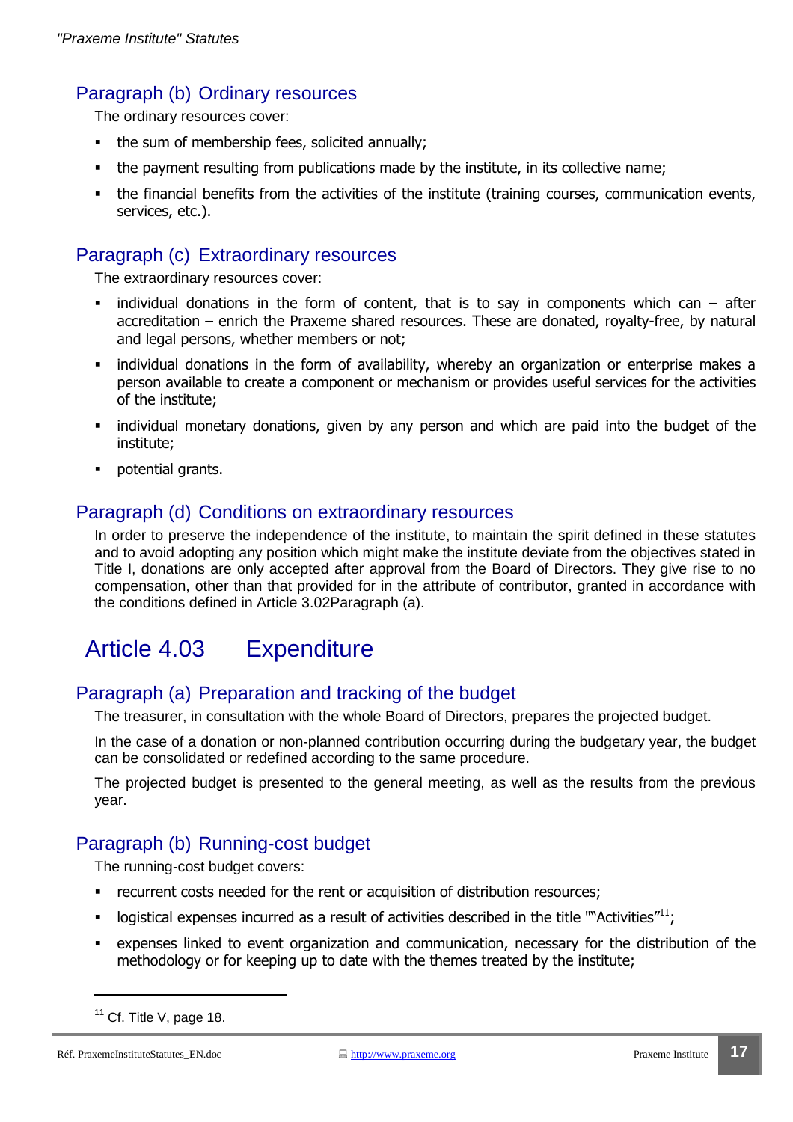#### Paragraph (b) Ordinary resources

The ordinary resources cover:

- the sum of membership fees, solicited annually;
- the payment resulting from publications made by the institute, in its collective name;
- the financial benefits from the activities of the institute (training courses, communication events, services, etc.).

#### Paragraph (c) Extraordinary resources

The extraordinary resources cover:

- individual donations in the form of content, that is to say in components which can  $-$  after accreditation – enrich the Praxeme shared resources. These are donated, royalty-free, by natural and legal persons, whether members or not;
- individual donations in the form of availability, whereby an organization or enterprise makes a person available to create a component or mechanism or provides useful services for the activities of the institute;
- individual monetary donations, given by any person and which are paid into the budget of the institute;
- potential grants.

#### Paragraph (d) Conditions on extraordinary resources

In order to preserve the independence of the institute, to maintain the spirit defined in these statutes and to avoid adopting any position which might make the institute deviate from the objectives stated in Title I, donations are only accepted after approval from the Board of Directors. They give rise to no compensation, other than that provided for in the attribute of contributor, granted in accordance with the conditions defined in Article 3.02Paragraph (a).

# Article 4.03 Expenditure

#### Paragraph (a) Preparation and tracking of the budget

The treasurer, in consultation with the whole Board of Directors, prepares the projected budget.

In the case of a donation or non-planned contribution occurring during the budgetary year, the budget can be consolidated or redefined according to the same procedure.

The projected budget is presented to the general meeting, as well as the results from the previous year.

#### Paragraph (b) Running-cost budget

The running-cost budget covers:

- **•** recurrent costs needed for the rent or acquisition of distribution resources;
- logistical expenses incurred as a result of activities described in the title ""Activities" $^{11}$ ;
- expenses linked to event organization and communication, necessary for the distribution of the methodology or for keeping up to date with the themes treated by the institute;

 $11$  Cf. Title V, page 18.

Réf. PraxemeInstituteStatutes\_EN.doc 
<br>
and the <u>http://www.praxeme.org</u> Praxeme Institute 17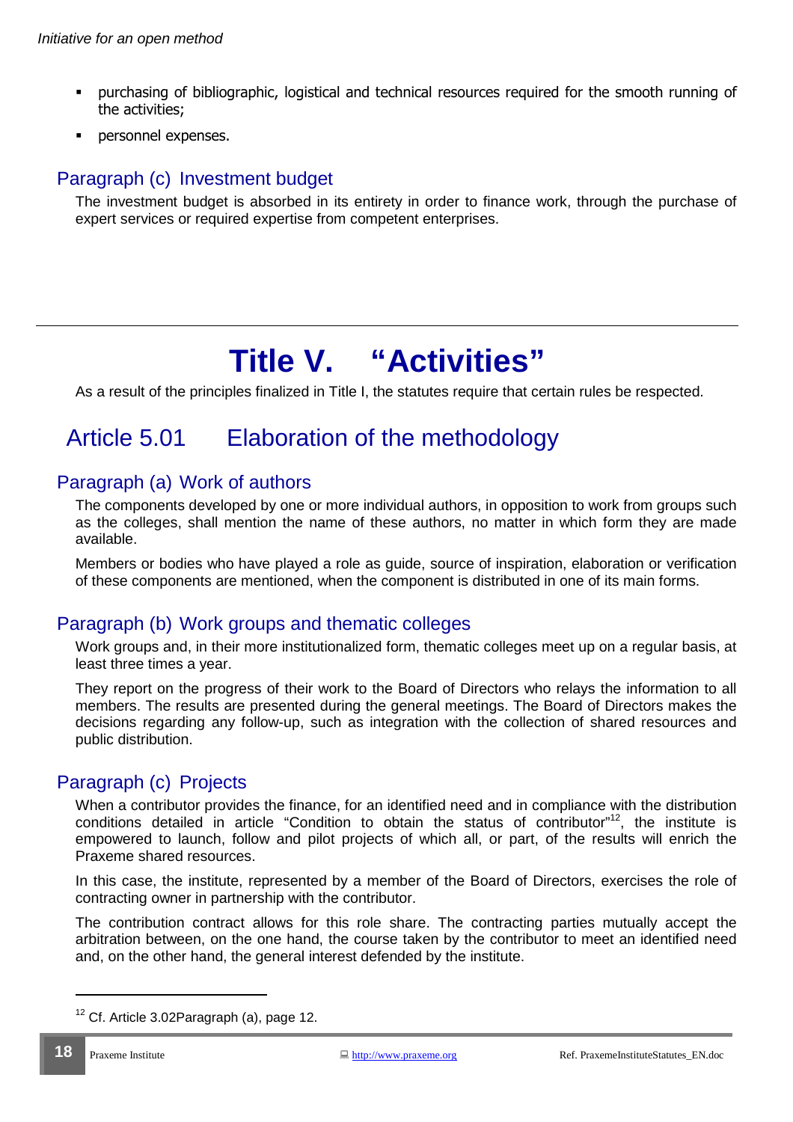- purchasing of bibliographic, logistical and technical resources required for the smooth running of the activities;
- **•** personnel expenses.

### Paragraph (c) Investment budget

The investment budget is absorbed in its entirety in order to finance work, through the purchase of expert services or required expertise from competent enterprises.

# **Title V. "Activities"**

As a result of the principles finalized in Title I, the statutes require that certain rules be respected.

# Article 5.01 Elaboration of the methodology

#### Paragraph (a) Work of authors

The components developed by one or more individual authors, in opposition to work from groups such as the colleges, shall mention the name of these authors, no matter in which form they are made available.

Members or bodies who have played a role as guide, source of inspiration, elaboration or verification of these components are mentioned, when the component is distributed in one of its main forms.

#### Paragraph (b) Work groups and thematic colleges

Work groups and, in their more institutionalized form, thematic colleges meet up on a regular basis, at least three times a year.

They report on the progress of their work to the Board of Directors who relays the information to all members. The results are presented during the general meetings. The Board of Directors makes the decisions regarding any follow-up, such as integration with the collection of shared resources and public distribution.

#### Paragraph (c) Projects

When a contributor provides the finance, for an identified need and in compliance with the distribution conditions detailed in article "Condition to obtain the status of contributor"<sup>12</sup>, the institute is empowered to launch, follow and pilot projects of which all, or part, of the results will enrich the Praxeme shared resources.

In this case, the institute, represented by a member of the Board of Directors, exercises the role of contracting owner in partnership with the contributor.

The contribution contract allows for this role share. The contracting parties mutually accept the arbitration between, on the one hand, the course taken by the contributor to meet an identified need and, on the other hand, the general interest defended by the institute.

 $12$  Cf. Article 3.02Paragraph (a), page 12.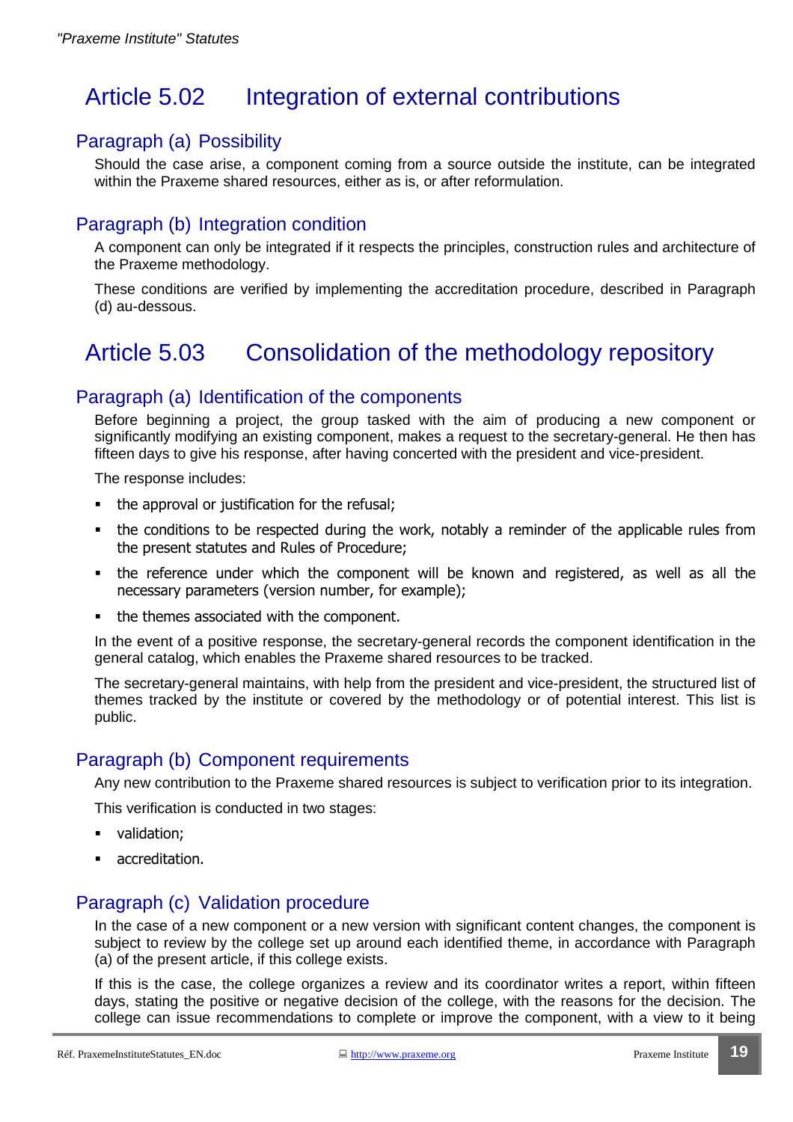# Article 5.02 Integration of external contributions

#### Paragraph (a) Possibility

Should the case arise, a component coming from a source outside the institute, can be integrated within the Praxeme shared resources, either as is, or after reformulation.

### Paragraph (b) Integration condition

A component can only be integrated if it respects the principles, construction rules and architecture of the Praxeme methodology.

These conditions are verified by implementing the accreditation procedure, described in Paragraph (d) au-dessous.

# Article 5.03 Consolidation of the methodology repository

#### Paragraph (a) Identification of the components

Before beginning a project, the group tasked with the aim of producing a new component or significantly modifying an existing component, makes a request to the secretary-general. He then has fifteen days to give his response, after having concerted with the president and vice-president.

The response includes:

- the approval or justification for the refusal;
- the conditions to be respected during the work, notably a reminder of the applicable rules from the present statutes and Rules of Procedure;
- the reference under which the component will be known and registered, as well as all the necessary parameters (version number, for example);
- the themes associated with the component.

In the event of a positive response, the secretary-general records the component identification in the general catalog, which enables the Praxeme shared resources to be tracked.

The secretary-general maintains, with help from the president and vice-president, the structured list of themes tracked by the institute or covered by the methodology or of potential interest. This list is public.

#### Paragraph (b) Component requirements

Any new contribution to the Praxeme shared resources is subject to verification prior to its integration.

This verification is conducted in two stages:

- validation;
- **accreditation.**

#### Paragraph (c) Validation procedure

In the case of a new component or a new version with significant content changes, the component is subject to review by the college set up around each identified theme, in accordance with Paragraph (a) of the present article, if this college exists.

If this is the case, the college organizes a review and its coordinator writes a report, within fifteen days, stating the positive or negative decision of the college, with the reasons for the decision. The college can issue recommendations to complete or improve the component, with a view to it being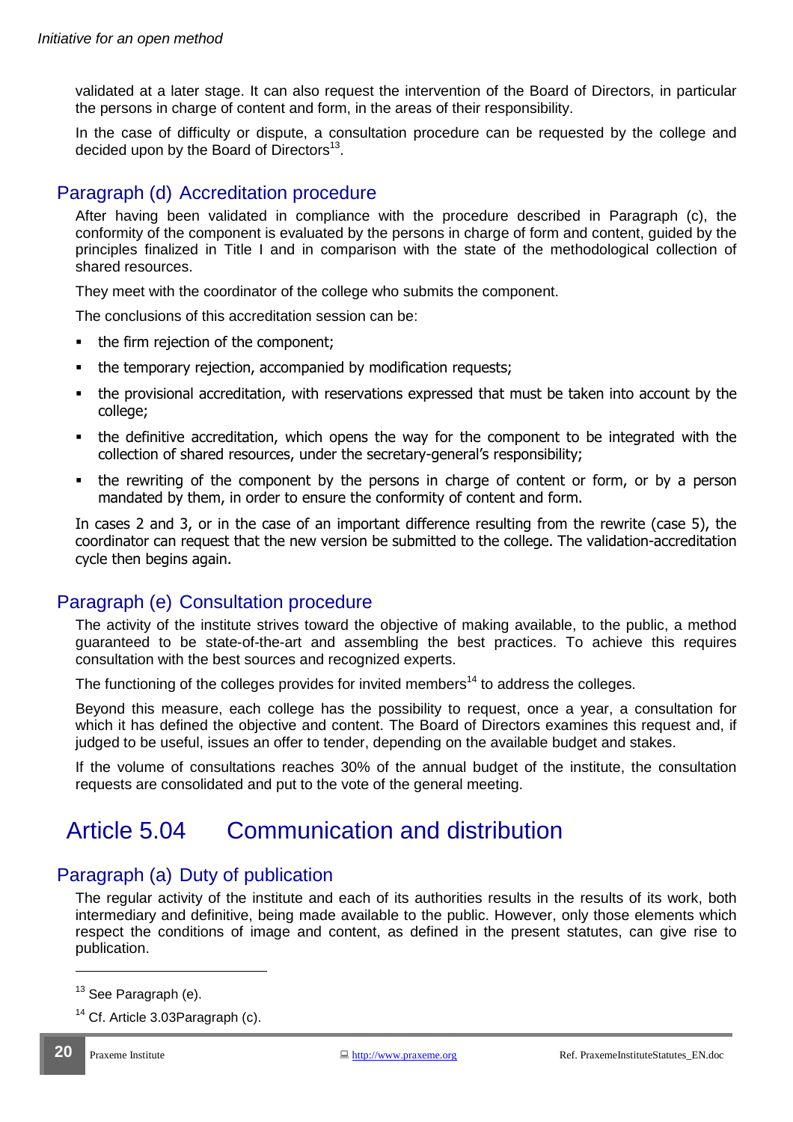validated at a later stage. It can also request the intervention of the Board of Directors, in particular the persons in charge of content and form, in the areas of their responsibility.

In the case of difficulty or dispute, a consultation procedure can be requested by the college and decided upon by the Board of Directors<sup>13</sup>.

## Paragraph (d) Accreditation procedure

After having been validated in compliance with the procedure described in Paragraph (c), the conformity of the component is evaluated by the persons in charge of form and content, guided by the principles finalized in Title I and in comparison with the state of the methodological collection of shared resources.

They meet with the coordinator of the college who submits the component.

The conclusions of this accreditation session can be:

- the firm rejection of the component;
- the temporary rejection, accompanied by modification requests;
- the provisional accreditation, with reservations expressed that must be taken into account by the college;
- the definitive accreditation, which opens the way for the component to be integrated with the collection of shared resources, under the secretary-general's responsibility;
- the rewriting of the component by the persons in charge of content or form, or by a person mandated by them, in order to ensure the conformity of content and form.

In cases 2 and 3, or in the case of an important difference resulting from the rewrite (case 5), the coordinator can request that the new version be submitted to the college. The validation-accreditation cycle then begins again.

#### Paragraph (e) Consultation procedure

The activity of the institute strives toward the objective of making available, to the public, a method guaranteed to be state-of-the-art and assembling the best practices. To achieve this requires consultation with the best sources and recognized experts.

The functioning of the colleges provides for invited members<sup>14</sup> to address the colleges.

Beyond this measure, each college has the possibility to request, once a year, a consultation for which it has defined the objective and content. The Board of Directors examines this request and, if judged to be useful, issues an offer to tender, depending on the available budget and stakes.

If the volume of consultations reaches 30% of the annual budget of the institute, the consultation requests are consolidated and put to the vote of the general meeting.

# Article 5.04 Communication and distribution

## Paragraph (a) Duty of publication

The regular activity of the institute and each of its authorities results in the results of its work, both intermediary and definitive, being made available to the public. However, only those elements which respect the conditions of image and content, as defined in the present statutes, can give rise to publication.

 $\overline{a}$ 

 $13$  See Paragraph (e).

 $14$  Cf. Article 3.03Paragraph (c).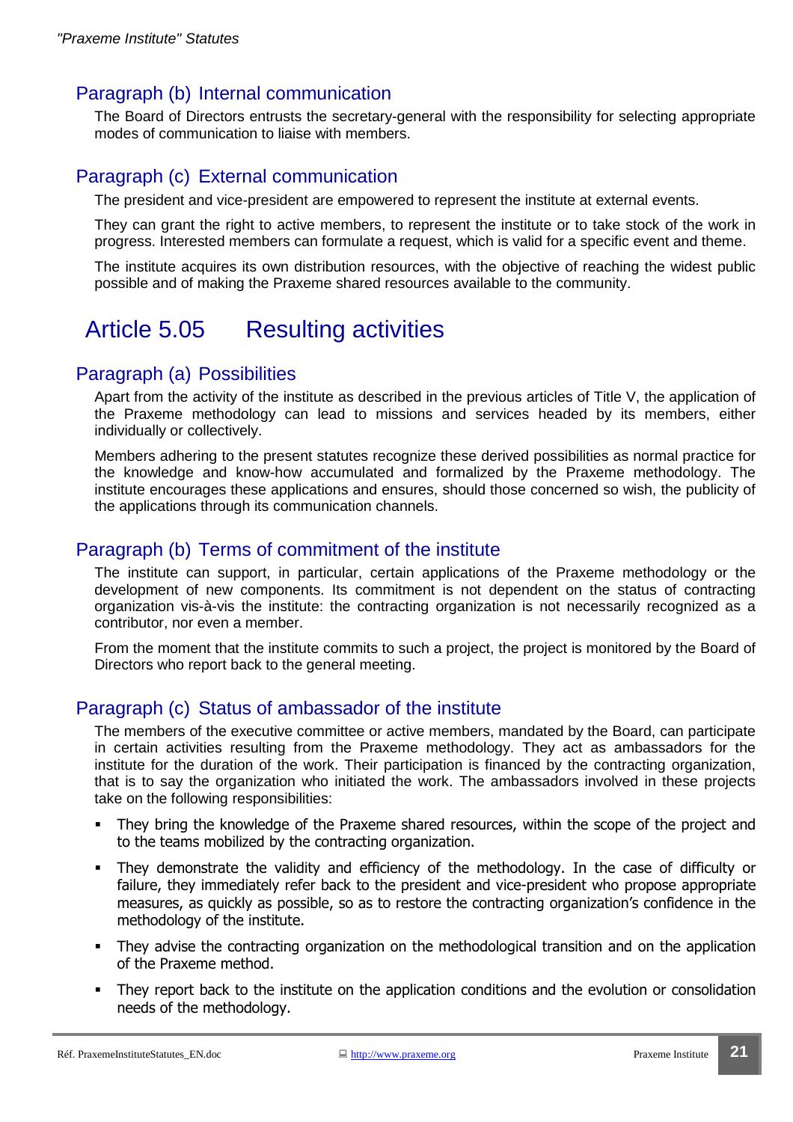#### Paragraph (b) Internal communication

The Board of Directors entrusts the secretary-general with the responsibility for selecting appropriate modes of communication to liaise with members.

### Paragraph (c) External communication

The president and vice-president are empowered to represent the institute at external events.

They can grant the right to active members, to represent the institute or to take stock of the work in progress. Interested members can formulate a request, which is valid for a specific event and theme.

The institute acquires its own distribution resources, with the objective of reaching the widest public possible and of making the Praxeme shared resources available to the community.

# Article 5.05 Resulting activities

#### Paragraph (a) Possibilities

Apart from the activity of the institute as described in the previous articles of Title V, the application of the Praxeme methodology can lead to missions and services headed by its members, either individually or collectively.

Members adhering to the present statutes recognize these derived possibilities as normal practice for the knowledge and know-how accumulated and formalized by the Praxeme methodology. The institute encourages these applications and ensures, should those concerned so wish, the publicity of the applications through its communication channels.

#### Paragraph (b) Terms of commitment of the institute

The institute can support, in particular, certain applications of the Praxeme methodology or the development of new components. Its commitment is not dependent on the status of contracting organization vis-à-vis the institute: the contracting organization is not necessarily recognized as a contributor, nor even a member.

From the moment that the institute commits to such a project, the project is monitored by the Board of Directors who report back to the general meeting.

## Paragraph (c) Status of ambassador of the institute

The members of the executive committee or active members, mandated by the Board, can participate in certain activities resulting from the Praxeme methodology. They act as ambassadors for the institute for the duration of the work. Their participation is financed by the contracting organization, that is to say the organization who initiated the work. The ambassadors involved in these projects take on the following responsibilities:

- They bring the knowledge of the Praxeme shared resources, within the scope of the project and to the teams mobilized by the contracting organization.
- They demonstrate the validity and efficiency of the methodology. In the case of difficulty or failure, they immediately refer back to the president and vice-president who propose appropriate measures, as quickly as possible, so as to restore the contracting organization's confidence in the methodology of the institute.
- They advise the contracting organization on the methodological transition and on the application of the Praxeme method.
- They report back to the institute on the application conditions and the evolution or consolidation needs of the methodology.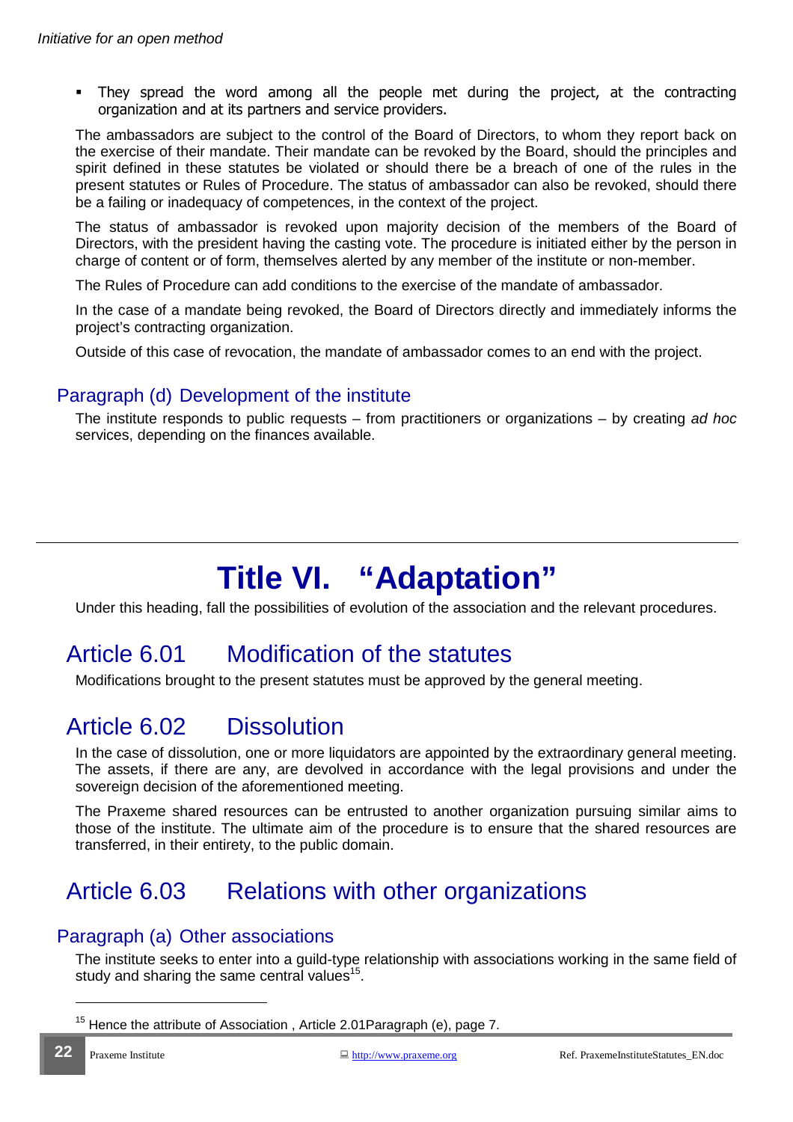They spread the word among all the people met during the project, at the contracting organization and at its partners and service providers.

The ambassadors are subject to the control of the Board of Directors, to whom they report back on the exercise of their mandate. Their mandate can be revoked by the Board, should the principles and spirit defined in these statutes be violated or should there be a breach of one of the rules in the present statutes or Rules of Procedure. The status of ambassador can also be revoked, should there be a failing or inadequacy of competences, in the context of the project.

The status of ambassador is revoked upon majority decision of the members of the Board of Directors, with the president having the casting vote. The procedure is initiated either by the person in charge of content or of form, themselves alerted by any member of the institute or non-member.

The Rules of Procedure can add conditions to the exercise of the mandate of ambassador.

In the case of a mandate being revoked, the Board of Directors directly and immediately informs the project's contracting organization.

Outside of this case of revocation, the mandate of ambassador comes to an end with the project.

#### Paragraph (d) Development of the institute

The institute responds to public requests – from practitioners or organizations – by creating ad hoc services, depending on the finances available.

# **Title VI. "Adaptation"**

Under this heading, fall the possibilities of evolution of the association and the relevant procedures.

# Article 6.01 Modification of the statutes

Modifications brought to the present statutes must be approved by the general meeting.

# Article 6.02 Dissolution

In the case of dissolution, one or more liquidators are appointed by the extraordinary general meeting. The assets, if there are any, are devolved in accordance with the legal provisions and under the sovereign decision of the aforementioned meeting.

The Praxeme shared resources can be entrusted to another organization pursuing similar aims to those of the institute. The ultimate aim of the procedure is to ensure that the shared resources are transferred, in their entirety, to the public domain.

# Article 6.03 Relations with other organizations

#### Paragraph (a) Other associations

The institute seeks to enter into a guild-type relationship with associations working in the same field of study and sharing the same central values<sup>15</sup>.

 $\overline{a}$ 

 $15$  Hence the attribute of Association, Article 2.01 Paragraph (e), page 7.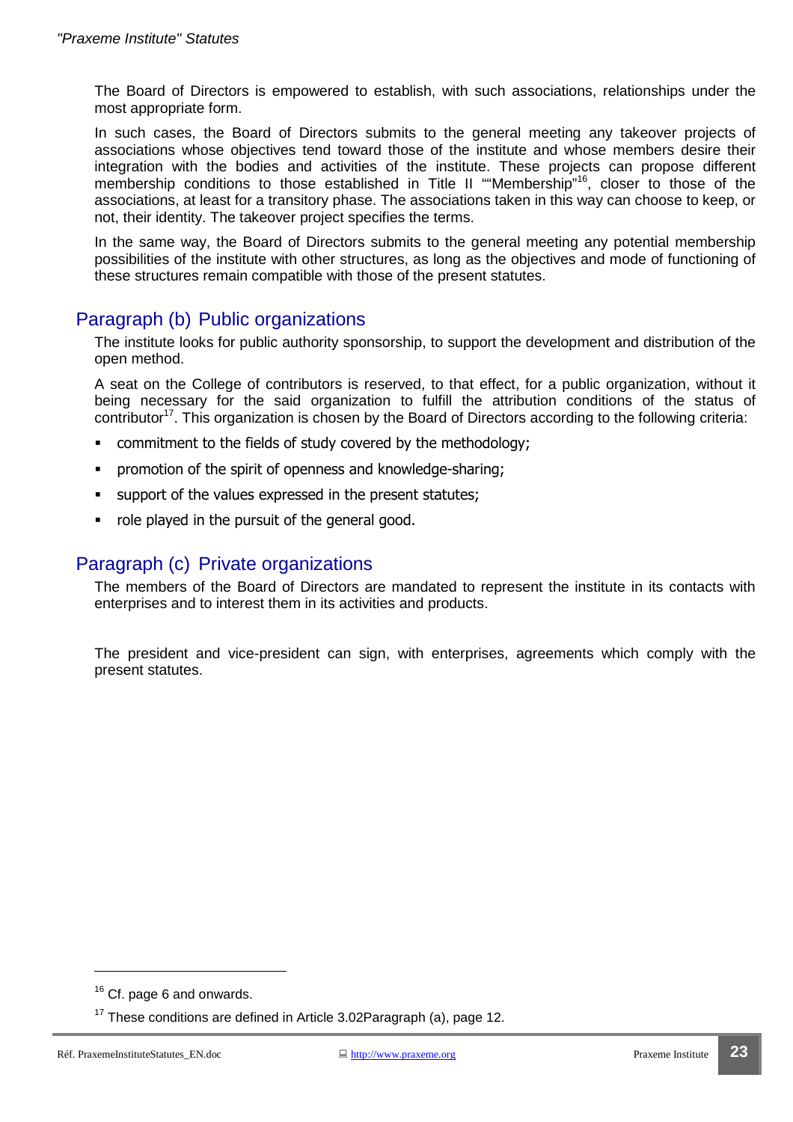The Board of Directors is empowered to establish, with such associations, relationships under the most appropriate form.

In such cases, the Board of Directors submits to the general meeting any takeover projects of associations whose objectives tend toward those of the institute and whose members desire their integration with the bodies and activities of the institute. These projects can propose different membership conditions to those established in Title II ""Membership"<sup>16</sup>, closer to those of the associations, at least for a transitory phase. The associations taken in this way can choose to keep, or not, their identity. The takeover project specifies the terms.

In the same way, the Board of Directors submits to the general meeting any potential membership possibilities of the institute with other structures, as long as the objectives and mode of functioning of these structures remain compatible with those of the present statutes.

#### Paragraph (b) Public organizations

The institute looks for public authority sponsorship, to support the development and distribution of the open method.

A seat on the College of contributors is reserved, to that effect, for a public organization, without it being necessary for the said organization to fulfill the attribution conditions of the status of contributor<sup>17</sup>. This organization is chosen by the Board of Directors according to the following criteria:

- commitment to the fields of study covered by the methodology;
- promotion of the spirit of openness and knowledge-sharing;
- support of the values expressed in the present statutes;
- role played in the pursuit of the general good.

#### Paragraph (c) Private organizations

The members of the Board of Directors are mandated to represent the institute in its contacts with enterprises and to interest them in its activities and products.

The president and vice-president can sign, with enterprises, agreements which comply with the present statutes.

 $\overline{a}$ 

<sup>&</sup>lt;sup>16</sup> Cf. page 6 and onwards.

 $17$  These conditions are defined in Article 3.02Paragraph (a), page 12.